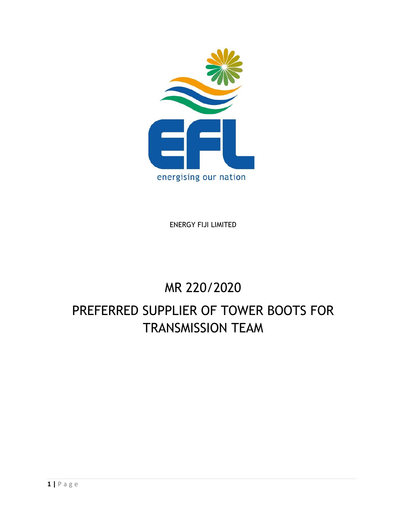

ENERGY FIJI LIMITED

# MR 220/2020

# PREFERRED SUPPLIER OF TOWER BOOTS FOR TRANSMISSION TEAM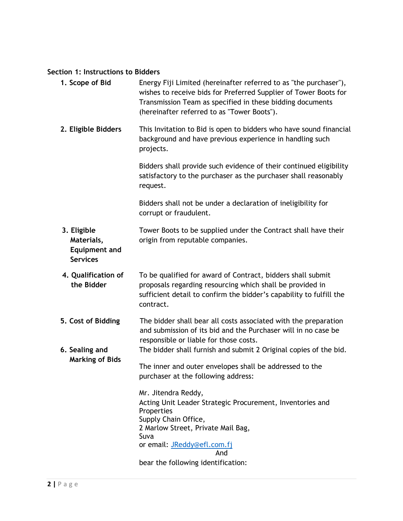# **Section 1: Instructions to Bidders**

| 1. Scope of Bid                                                      | Energy Fiji Limited (hereinafter referred to as "the purchaser"),<br>wishes to receive bids for Preferred Supplier of Tower Boots for<br>Transmission Team as specified in these bidding documents<br>(hereinafter referred to as "Tower Boots"). |
|----------------------------------------------------------------------|---------------------------------------------------------------------------------------------------------------------------------------------------------------------------------------------------------------------------------------------------|
| 2. Eligible Bidders                                                  | This Invitation to Bid is open to bidders who have sound financial<br>background and have previous experience in handling such<br>projects.                                                                                                       |
|                                                                      | Bidders shall provide such evidence of their continued eligibility<br>satisfactory to the purchaser as the purchaser shall reasonably<br>request.                                                                                                 |
|                                                                      | Bidders shall not be under a declaration of ineligibility for<br>corrupt or fraudulent.                                                                                                                                                           |
| 3. Eligible<br>Materials,<br><b>Equipment and</b><br><b>Services</b> | Tower Boots to be supplied under the Contract shall have their<br>origin from reputable companies.                                                                                                                                                |
| 4. Qualification of<br>the Bidder                                    | To be qualified for award of Contract, bidders shall submit<br>proposals regarding resourcing which shall be provided in<br>sufficient detail to confirm the bidder's capability to fulfill the<br>contract.                                      |
| 5. Cost of Bidding<br>6. Sealing and                                 | The bidder shall bear all costs associated with the preparation<br>and submission of its bid and the Purchaser will in no case be<br>responsible or liable for those costs.<br>The bidder shall furnish and submit 2 Original copies of the bid.  |
| <b>Marking of Bids</b>                                               | The inner and outer envelopes shall be addressed to the<br>purchaser at the following address:                                                                                                                                                    |
|                                                                      | Mr. Jitendra Reddy,<br>Acting Unit Leader Strategic Procurement, Inventories and<br>Properties<br>Supply Chain Office,<br>2 Marlow Street, Private Mail Bag,<br>Suva<br>or email: JReddy@efl.com.fj<br>And<br>bear the following identification:  |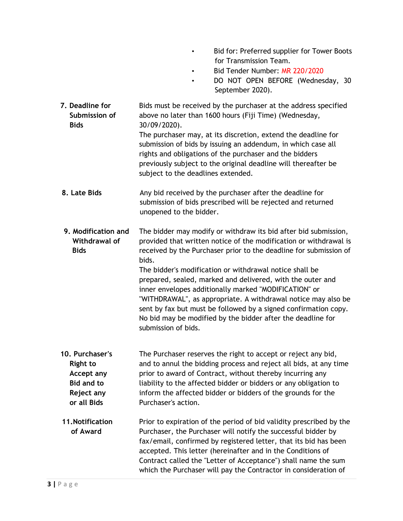- Bid for: Preferred supplier for Tower Boots for Transmission Team.
- Bid Tender Number: MR 220/2020
- DO NOT OPEN BEFORE (Wednesday, 30 September 2020).
- **7. Deadline for Submission of Bids** Bids must be received by the purchaser at the address specified above no later than 1600 hours (Fiji Time) (Wednesday, 30/09/2020). The purchaser may, at its discretion, extend the deadline for submission of bids by issuing an addendum, in which case all rights and obligations of the purchaser and the bidders previously subject to the original deadline will thereafter be subject to the deadlines extended. **8. Late Bids** Any bid received by the purchaser after the deadline for submission of bids prescribed will be rejected and returned unopened to the bidder. **9. Modification and Withdrawal of Bids** The bidder may modify or withdraw its bid after bid submission, provided that written notice of the modification or withdrawal is received by the Purchaser prior to the deadline for submission of bids. The bidder's modification or withdrawal notice shall be prepared, sealed, marked and delivered, with the outer and inner envelopes additionally marked "MODIFICATION" or "WITHDRAWAL", as appropriate. A withdrawal notice may also be sent by fax but must be followed by a signed confirmation copy. No bid may be modified by the bidder after the deadline for submission of bids. **10. Purchaser's Right to Accept any Bid and to Reject any or all Bids** The Purchaser reserves the right to accept or reject any bid, and to annul the bidding process and reject all bids, at any time prior to award of Contract, without thereby incurring any liability to the affected bidder or bidders or any obligation to inform the affected bidder or bidders of the grounds for the Purchaser's action. **11.Notification of Award** Prior to expiration of the period of bid validity prescribed by the Purchaser, the Purchaser will notify the successful bidder by fax/email, confirmed by registered letter, that its bid has been accepted. This letter (hereinafter and in the Conditions of Contract called the "Letter of Acceptance") shall name the sum which the Purchaser will pay the Contractor in consideration of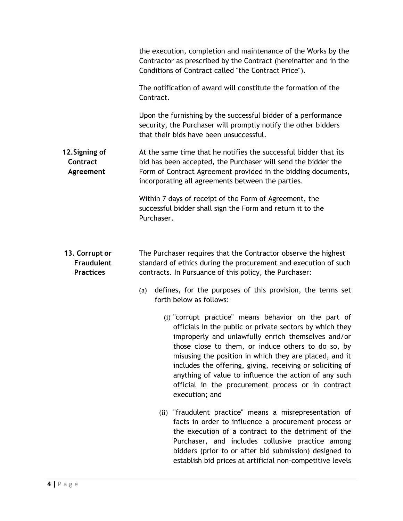|                                                         | the execution, completion and maintenance of the Works by the<br>Contractor as prescribed by the Contract (hereinafter and in the<br>Conditions of Contract called "the Contract Price").                                                                                                                                                                                                                                                                                            |  |  |
|---------------------------------------------------------|--------------------------------------------------------------------------------------------------------------------------------------------------------------------------------------------------------------------------------------------------------------------------------------------------------------------------------------------------------------------------------------------------------------------------------------------------------------------------------------|--|--|
|                                                         | The notification of award will constitute the formation of the<br>Contract.                                                                                                                                                                                                                                                                                                                                                                                                          |  |  |
|                                                         | Upon the furnishing by the successful bidder of a performance<br>security, the Purchaser will promptly notify the other bidders<br>that their bids have been unsuccessful.                                                                                                                                                                                                                                                                                                           |  |  |
| 12. Signing of<br>Contract<br>Agreement                 | At the same time that he notifies the successful bidder that its<br>bid has been accepted, the Purchaser will send the bidder the<br>Form of Contract Agreement provided in the bidding documents,<br>incorporating all agreements between the parties.                                                                                                                                                                                                                              |  |  |
|                                                         | Within 7 days of receipt of the Form of Agreement, the<br>successful bidder shall sign the Form and return it to the<br>Purchaser.                                                                                                                                                                                                                                                                                                                                                   |  |  |
| 13. Corrupt or<br><b>Fraudulent</b><br><b>Practices</b> | The Purchaser requires that the Contractor observe the highest<br>standard of ethics during the procurement and execution of such<br>contracts. In Pursuance of this policy, the Purchaser:                                                                                                                                                                                                                                                                                          |  |  |
|                                                         | defines, for the purposes of this provision, the terms set<br>(a)<br>forth below as follows:                                                                                                                                                                                                                                                                                                                                                                                         |  |  |
|                                                         | (i) "corrupt practice" means behavior on the part of<br>officials in the public or private sectors by which they<br>improperly and unlawfully enrich themselves and/or<br>those close to them, or induce others to do so, by<br>misusing the position in which they are placed, and it<br>includes the offering, giving, receiving or soliciting of<br>anything of value to influence the action of any such<br>official in the procurement process or in contract<br>execution; and |  |  |
|                                                         | (ii) "fraudulent practice" means a misrepresentation of<br>facts in order to influence a procurement process or<br>the execution of a contract to the detriment of the<br>Purchaser, and includes collusive practice among<br>bidders (prior to or after bid submission) designed to<br>establish bid prices at artificial non-competitive levels                                                                                                                                    |  |  |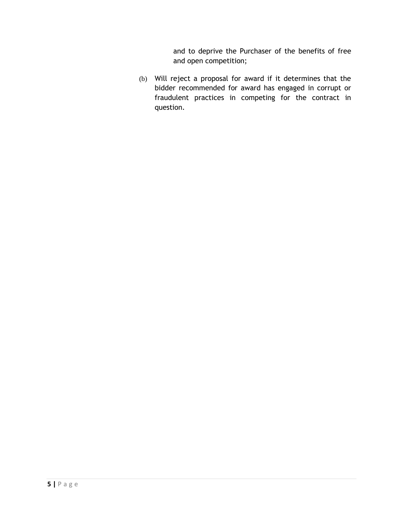and to deprive the Purchaser of the benefits of free and open competition;

(b) Will reject a proposal for award if it determines that the bidder recommended for award has engaged in corrupt or fraudulent practices in competing for the contract in question.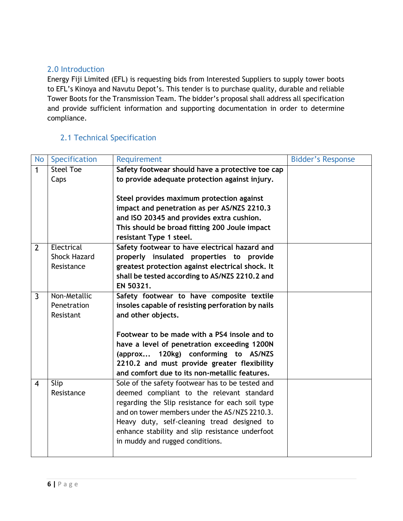# 2.0 Introduction

Energy Fiji Limited (EFL) is requesting bids from Interested Suppliers to supply tower boots to EFL's Kinoya and Navutu Depot's. This tender is to purchase quality, durable and reliable Tower Boots for the Transmission Team. The bidder's proposal shall address all specification and provide sufficient information and supporting documentation in order to determine compliance.

# 2.1 Technical Specification

| <b>No</b>      | Specification       | Requirement                                       | <b>Bidder's Response</b> |
|----------------|---------------------|---------------------------------------------------|--------------------------|
| 1              | <b>Steel Toe</b>    | Safety footwear should have a protective toe cap  |                          |
|                | Caps                | to provide adequate protection against injury.    |                          |
|                |                     |                                                   |                          |
|                |                     | Steel provides maximum protection against         |                          |
|                |                     | impact and penetration as per AS/NZS 2210.3       |                          |
|                |                     | and ISO 20345 and provides extra cushion.         |                          |
|                |                     | This should be broad fitting 200 Joule impact     |                          |
|                |                     | resistant Type 1 steel.                           |                          |
| $\overline{2}$ | Electrical          | Safety footwear to have electrical hazard and     |                          |
|                | <b>Shock Hazard</b> | properly insulated properties to provide          |                          |
|                | Resistance          | greatest protection against electrical shock. It  |                          |
|                |                     | shall be tested according to AS/NZS 2210.2 and    |                          |
|                |                     | EN 50321.                                         |                          |
| $\overline{3}$ | Non-Metallic        | Safety footwear to have composite textile         |                          |
|                | Penetration         | insoles capable of resisting perforation by nails |                          |
|                | Resistant           | and other objects.                                |                          |
|                |                     |                                                   |                          |
|                |                     | Footwear to be made with a PS4 insole and to      |                          |
|                |                     | have a level of penetration exceeding 1200N       |                          |
|                |                     | (approx 120kg) conforming to AS/NZS               |                          |
|                |                     | 2210.2 and must provide greater flexibility       |                          |
|                |                     | and comfort due to its non-metallic features.     |                          |
| $\overline{4}$ | Slip                | Sole of the safety footwear has to be tested and  |                          |
|                | Resistance          | deemed compliant to the relevant standard         |                          |
|                |                     | regarding the Slip resistance for each soil type  |                          |
|                |                     | and on tower members under the AS/NZS 2210.3.     |                          |
|                |                     | Heavy duty, self-cleaning tread designed to       |                          |
|                |                     | enhance stability and slip resistance underfoot   |                          |
|                |                     | in muddy and rugged conditions.                   |                          |
|                |                     |                                                   |                          |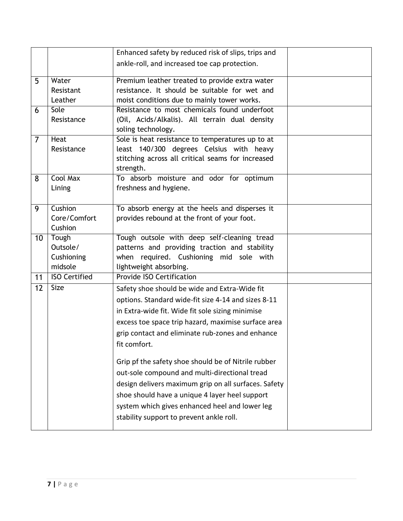|                |                                            | Enhanced safety by reduced risk of slips, trips and                                                                                                                                                                                                                                                          |  |
|----------------|--------------------------------------------|--------------------------------------------------------------------------------------------------------------------------------------------------------------------------------------------------------------------------------------------------------------------------------------------------------------|--|
|                |                                            | ankle-roll, and increased toe cap protection.                                                                                                                                                                                                                                                                |  |
| 5              | Water<br>Resistant                         | Premium leather treated to provide extra water<br>resistance. It should be suitable for wet and                                                                                                                                                                                                              |  |
|                | Leather                                    | moist conditions due to mainly tower works.                                                                                                                                                                                                                                                                  |  |
| 6              | Sole<br>Resistance                         | Resistance to most chemicals found underfoot<br>(Oil, Acids/Alkalis). All terrain dual density<br>soling technology.                                                                                                                                                                                         |  |
| $\overline{7}$ | Heat<br>Resistance                         | Sole is heat resistance to temperatures up to at<br>least 140/300 degrees Celsius with heavy<br>stitching across all critical seams for increased<br>strength.                                                                                                                                               |  |
| 8              | Cool Max<br>Lining                         | To absorb moisture and odor for optimum<br>freshness and hygiene.                                                                                                                                                                                                                                            |  |
| 9              | Cushion<br>Core/Comfort<br>Cushion         | To absorb energy at the heels and disperses it<br>provides rebound at the front of your foot.                                                                                                                                                                                                                |  |
| 10             | Tough<br>Outsole/<br>Cushioning<br>midsole | Tough outsole with deep self-cleaning tread<br>patterns and providing traction and stability<br>when required. Cushioning mid sole with<br>lightweight absorbing.                                                                                                                                            |  |
| 11             | <b>ISO Certified</b>                       | <b>Provide ISO Certification</b>                                                                                                                                                                                                                                                                             |  |
| 12             | <b>Size</b>                                | Safety shoe should be wide and Extra-Wide fit<br>options. Standard wide-fit size 4-14 and sizes 8-11<br>in Extra-wide fit. Wide fit sole sizing minimise<br>excess toe space trip hazard, maximise surface area<br>grip contact and eliminate rub-zones and enhance<br>fit comfort.                          |  |
|                |                                            | Grip pf the safety shoe should be of Nitrile rubber<br>out-sole compound and multi-directional tread<br>design delivers maximum grip on all surfaces. Safety<br>shoe should have a unique 4 layer heel support<br>system which gives enhanced heel and lower leg<br>stability support to prevent ankle roll. |  |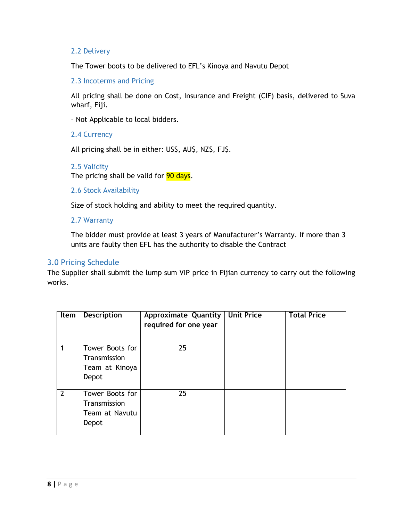#### 2.2 Delivery

The Tower boots to be delivered to EFL's Kinoya and Navutu Depot

2.3 Incoterms and Pricing

All pricing shall be done on Cost, Insurance and Freight (CIF) basis, delivered to Suva wharf, Fiji.

– Not Applicable to local bidders.

#### 2.4 Currency

All pricing shall be in either: US\$, AU\$, NZ\$, FJ\$.

#### 2.5 Validity The pricing shall be valid for 90 days.

#### 2.6 Stock Availability

Size of stock holding and ability to meet the required quantity.

#### 2.7 Warranty

The bidder must provide at least 3 years of Manufacturer's Warranty. If more than 3 units are faulty then EFL has the authority to disable the Contract

#### 3.0 Pricing Schedule

The Supplier shall submit the lump sum VIP price in Fijian currency to carry out the following works.

| Item           | <b>Description</b>                                         | Approximate Quantity<br>required for one year | <b>Unit Price</b> | <b>Total Price</b> |
|----------------|------------------------------------------------------------|-----------------------------------------------|-------------------|--------------------|
|                | Tower Boots for<br>Transmission<br>Team at Kinoya<br>Depot | 25                                            |                   |                    |
| $\overline{2}$ | Tower Boots for<br>Transmission<br>Team at Navutu<br>Depot | 25                                            |                   |                    |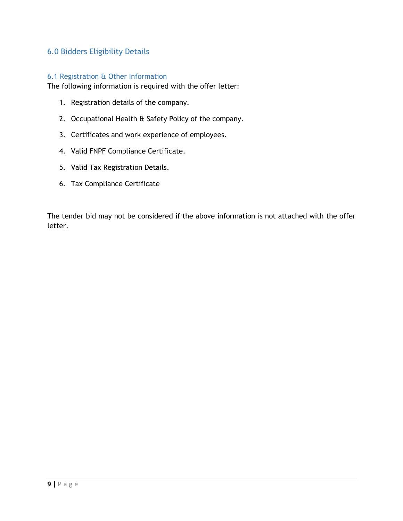# 6.0 Bidders Eligibility Details

#### 6.1 Registration & Other Information

The following information is required with the offer letter:

- 1. Registration details of the company.
- 2. Occupational Health & Safety Policy of the company.
- 3. Certificates and work experience of employees.
- 4. Valid FNPF Compliance Certificate.
- 5. Valid Tax Registration Details.
- 6. Tax Compliance Certificate

The tender bid may not be considered if the above information is not attached with the offer letter.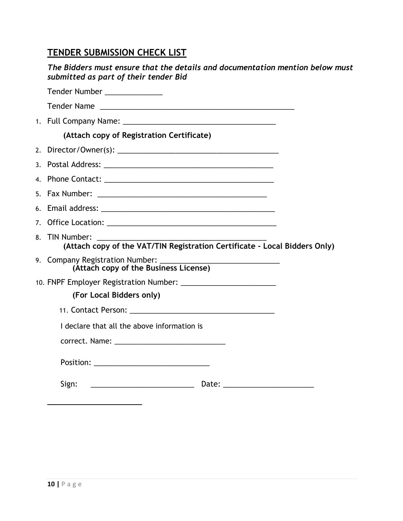# **TENDER SUBMISSION CHECK LIST**

| The Bidders must ensure that the details and documentation mention below must<br>submitted as part of their tender Bid |  |
|------------------------------------------------------------------------------------------------------------------------|--|
| Tender Number ______________                                                                                           |  |
|                                                                                                                        |  |
|                                                                                                                        |  |
| (Attach copy of Registration Certificate)                                                                              |  |
|                                                                                                                        |  |
|                                                                                                                        |  |
|                                                                                                                        |  |
|                                                                                                                        |  |
|                                                                                                                        |  |
|                                                                                                                        |  |
| 8. TIN Number:<br>(Attach copy of the VAT/TIN Registration Certificate - Local Bidders Only)                           |  |
| (Attach copy of the Business License)                                                                                  |  |
|                                                                                                                        |  |
| (For Local Bidders only)                                                                                               |  |
|                                                                                                                        |  |
| I declare that all the above information is                                                                            |  |
|                                                                                                                        |  |
|                                                                                                                        |  |
| Sign:                                                                                                                  |  |
|                                                                                                                        |  |